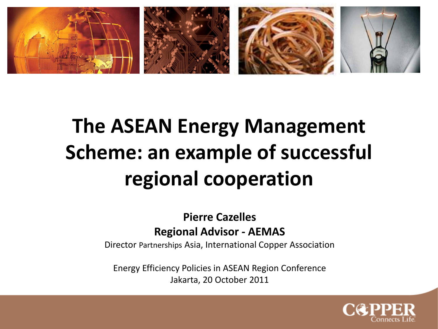

# **The ASEAN Energy Management Scheme: an example of successful regional cooperation**

#### **Pierre Cazelles Regional Advisor - AEMAS**

Director Partnerships Asia, International Copper Association

Energy Efficiency Policies in ASEAN Region Conference Jakarta, 20 October 2011

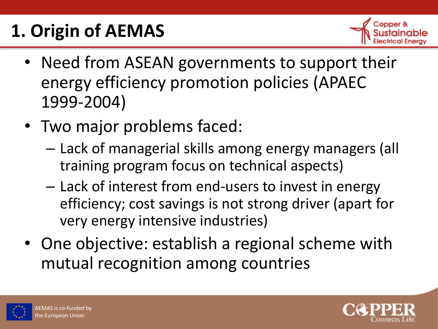# **1. Origin of AEMAS**



- Need from ASEAN governments to support their energy efficiency promotion policies (APAEC 1999-2004)
- Two major problems faced:
	- Lack of managerial skills among energy managers (all training program focus on technical aspects)
	- Lack of interest from end-users to invest in energy efficiency; cost savings is not strong driver (apart for very energy intensive industries)
- One objective: establish a regional scheme with mutual recognition among countries



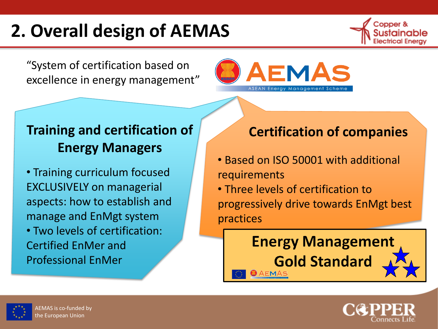# **2. Overall design of AEMAS**

"System of certification based on excellence in energy management"



## **Training and certification of Energy Managers**

- Training curriculum focused EXCLUSIVELY on managerial aspects: how to establish and manage and EnMgt system
- Two levels of certification: Certified EnMer and Professional EnMer

### **Certification of companies**

- Based on ISO 50001 with additional requirements
- Three levels of certification to progressively drive towards EnMgt best practices

#### **Energy Management Gold Standard AEMAS**



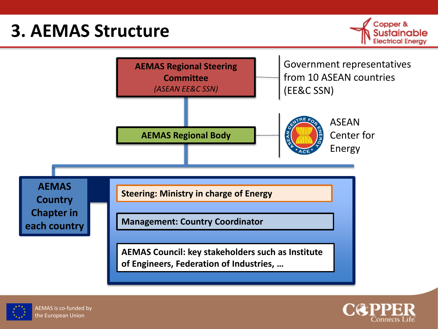## **3. AEMAS Structure**









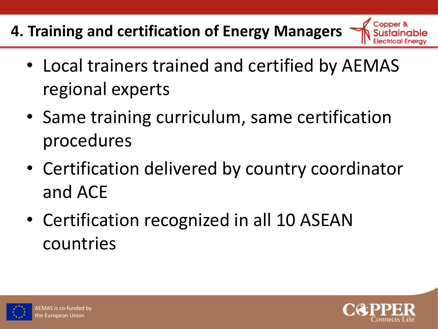## **4. Training and certification of Energy Managers**

- Local trainers trained and certified by AEMAS regional experts
- Same training curriculum, same certification procedures
- Certification delivered by country coordinator and ACE
- Certification recognized in all 10 ASEAN countries



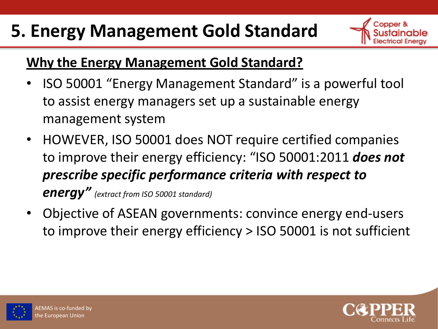# **5. Energy Management Gold Standard**



### **Why the Energy Management Gold Standard?**

- ISO 50001 "Energy Management Standard" is a powerful tool to assist energy managers set up a sustainable energy management system
- HOWEVER, ISO 50001 does NOT require certified companies to improve their energy efficiency: "ISO 50001:2011 *does not prescribe specific performance criteria with respect to energy" (extract from ISO 50001 standard)*
- Objective of ASEAN governments: convince energy end-users to improve their energy efficiency > ISO 50001 is not sufficient





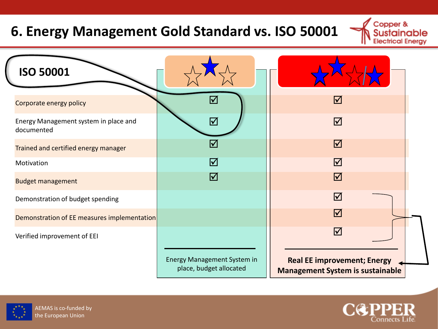## **6. Energy Management Gold Standard vs. ISO 50001**

| <b>ISO 50001</b>                                    |                                                        |                                                                               |
|-----------------------------------------------------|--------------------------------------------------------|-------------------------------------------------------------------------------|
| Corporate energy policy                             | $\blacktriangledown$                                   | $\triangledown$                                                               |
| Energy Management system in place and<br>documented | ☑                                                      | $\boxed{\mathcal{S}}$                                                         |
| Trained and certified energy manager                | $\blacktriangledown$                                   | $\boxed{\checkmark}$                                                          |
| Motivation                                          | ☑                                                      | $\triangledown$                                                               |
| <b>Budget management</b>                            | $\boxed{\checkmark}$                                   | $\boxed{\checkmark}$                                                          |
| Demonstration of budget spending                    |                                                        | $\triangledown$                                                               |
| Demonstration of EE measures implementation         |                                                        | $\triangledown$                                                               |
| Verified improvement of EEI                         |                                                        | $\triangledown$                                                               |
|                                                     | Energy Management System in<br>place, budget allocated | <b>Real EE improvement; Energy</b><br><b>Management System is sustainable</b> |





Copper &

**Electrical Energy** 

able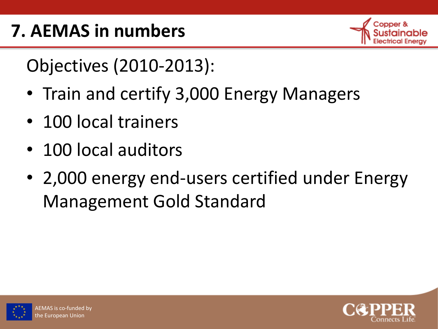

Objectives (2010-2013):

- Train and certify 3,000 Energy Managers
- 100 local trainers
- 100 local auditors
- 2,000 energy end-users certified under Energy Management Gold Standard



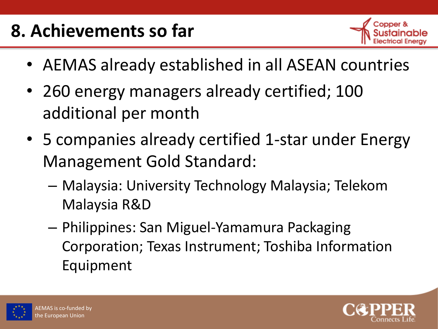# **8. Achievements so far**



- AEMAS already established in all ASEAN countries
- 260 energy managers already certified; 100 additional per month
- 5 companies already certified 1-star under Energy Management Gold Standard:
	- Malaysia: University Technology Malaysia; Telekom Malaysia R&D
	- Philippines: San Miguel-Yamamura Packaging Corporation; Texas Instrument; Toshiba Information Equipment